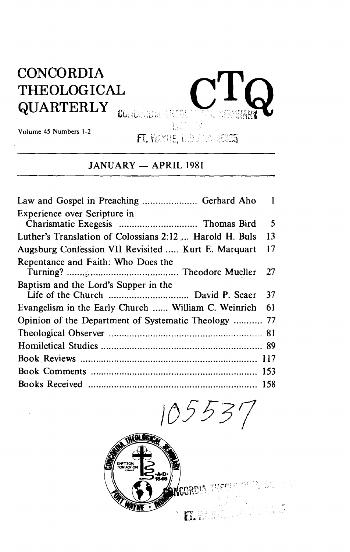## **CONCORDIA** THEOLOGICAL QUARTERLY CONCORRECTE



**Volume 45 Numbers 1-2** 

# **FI. WAYLE, ILDEAN 48825**<br>JANUARY — APRIL 1981

|                                                         | $\blacksquare$ |
|---------------------------------------------------------|----------------|
| Experience over Scripture in                            |                |
|                                                         | 5              |
| Luther's Translation of Colossians 2:12  Harold H. Buls | 13             |
| Augsburg Confession VII Revisited  Kurt E. Marquart     | 17             |
| Repentance and Faith: Who Does the                      |                |
|                                                         | -27            |
| Baptism and the Lord's Supper in the                    |                |
|                                                         | 37             |
| Evangelism in the Early Church  William C. Weinrich     | 61             |
| Opinion of the Department of Systematic Theology  77    |                |
|                                                         |                |
|                                                         |                |
|                                                         | 117            |
|                                                         | 153            |
|                                                         | 158            |

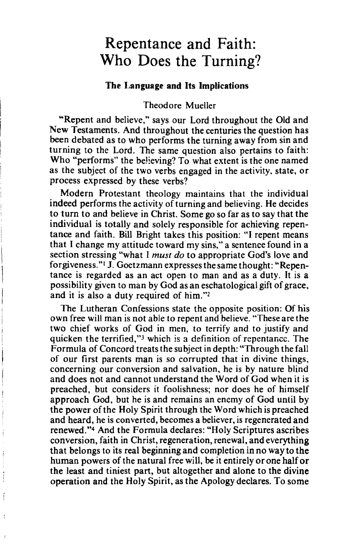## Repentance and Faith: Who Does the Turning?

### **The Language and Its Implications**

#### Theodore Mueller

"Repent and believe," says our Lord throughout the Old and New Testaments. And throughout the centuries the question has been debated as to who performs the turning away from sin and turning to the Lord. The same question also pertains to faith: Who "performs" the believing? To what extent is the one named as the subject of the two verbs engaged in the activity. state, or process expressed by these verbs?

Modern Protestant theology maintains that the individual indeed performs the activity of turning and believing. He decides to turn to and believe in Christ. Some go so far as to say that the individual is totally and solely responsible for achieving repentance and faith. Bill Bright takes this position: "I repent means that I change my attitude toward my sins," a sentence found in a section stressing "what I must do to appropriate God's love and forgiveness." J. Goetzmann expresses the same thought: "Repentance is regarded as an act open to man and as a duty. It is a possibility given to man by God as an eschatological gift of grace, and it is also a duty required of him."<sup>2</sup>

The Lutheran Confessions state the opposite position: Of his own free will man is not able to repent and believe. "These are the two chief works of God in men, to terrify and to justify and quicken the terrified,"<sup>3</sup> which is a definition of repentance. The Formula of Concord treats the subject in depth: "Through the fall of our first parents man is so corrupted that in divine things, concerning our conversion and salvation, he is by nature blind and does not and cannot understand the Word of God when it is preached, but considers it foolishness; nor does he of himself approach God, but he is and remains an enemy of God until by the power of the Holy Spirit through the Word which is preached and heard, he is converted, becomes a believer, is regenerated and renewed."4 And the Formula declares: "Holy Scriptures ascribes conversion, faith in Christ, regeneration, renewal, and everything that belongs to its real beginning and completion in no way to the human powers of the natural free will, be it entirely or one half or the least and tiniest part, but altogether and alone to the divine operation and the Holy Spirit, as the Apology declares. To some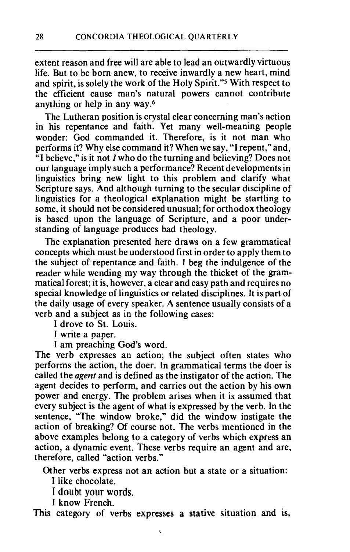extent reason and free will are able to lead an outwardly virtuous life. But to be born anew, to receive inwardly a new heart, mind and spirit, is solely the work of the Holy Spirit."5 With respect to the efficient cause man's natural powers cannot contribute anything or help in any way.<sup>6</sup>

The Lutheran position is crystal clear concerning man's action in his repentance and faith. Yet many well-meaning people wonder: God commanded it. Therefore, is it not man who performs it? Why else command it? When we say, "I repent," and, "I believe," is it not I who do the turning and believing? Does not our language imply such a performance? Recent developments in linguistics bring new light to this problem and clarify what Scripture says. And although turning to the secular discipline of linguistics for a theological explanation might be startling to some, it should not be considered unusual; for orthodox theology is based upon the language of Scripture, and a poor understanding of language produces bad theology.

The explanation presented here draws on a few grammatical concepts which must be understood first in order to apply them to the subject of repentance and faith. I beg the indulgence of the reader while wending my way through the thicket of the grammatical forest; it is, however, a clear and easy path and requires no special knowledge of linguistics or related disciplines. It is part of the daily usage of every speaker. A sentence usually consists of a verb and a subject as in the following cases:

I drove to St. Louis.

I write a paper.

I am preaching God's word.

The verb expresses an action; the subject often states who performs the action, the doer. In grammatical terms the doer is called the agent and is defined as the instigator of the action. The agent decides to perform, and carries out the action by his own power and energy. The problem arises when it is assumed that every subject is the agent of what is expressed by the verb. In the sentence, "The window broke," did the window instigate the action of breaking? Of course not. The verbs mentioned in the above examples belong to a category of verbs which express an action, a dynamic event. These verbs require an agent and are, therefore, called "action verbs."

Other verbs express not an action but a state or a situation:

I like chocolate.

I **doubt your words.** 

**<sup>I</sup>**know French.

This category of verbs expresses a stative situation and is,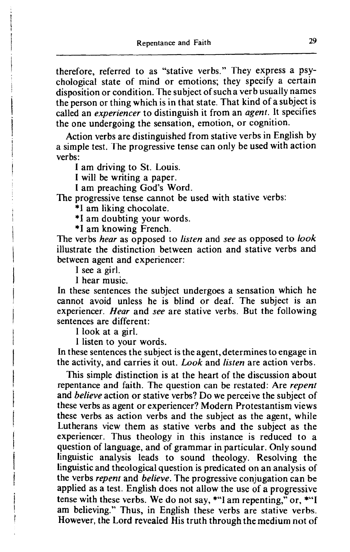therefore, referred to as "stative verbs." They express a psychological state of mind or emotions; they specify a certain disposition or condition. The subject of sucha verb usually names the person or thing which is in that state. That kind of a subject is called an *experiencer* to distinguish it from an *agent.* It specifies the one undergoing the sensation, emotion, or cognition.

Action verbs are distinguished from stative verbs in English by a simple test. The progressive tense can only be used with action verbs:

I am driving to St. Louis.

I will be writing a paper.

I am preaching God's Word.

The progressive tense cannot be used with stative verbs:

\*I am liking chocolate.

\*I am doubting your words.

\*I am knowing French.

The verbs *hear* as opposed to *listen* and *see* as opposed to *look*  illustrate the distinction between action and stative verbs and between agent and experiencer:

**1** see a girl.

**1** hear music.

In these sentences the subject undergoes a sensation which he cannot avoid unless he is blind or deaf. The subject is an experiencer. *Hear* and *see* are stative verbs. But the following sentences are different:

I look at a girl.

I listen to your words.

In these sentences the subject is the agent, determines to engage in the activity, and carries it out. Look and *listen* are action verbs.

This simple distinction is at the heart of the discussion about repentance and faith. The question can be restated: Are *repent*  and *believe* action or stative verbs? Do we perceive the subject of these verbs as agent or experiencer? Modern Protestantism views these verbs as action verbs and the subject as the agent, while Lutherans view them as stative verbs and the subject as the experiencer. Thus theology in this instance is reduced to a question of language, and of grammar in particular. Only sound linguistic analysis leads to sound theology. Resolving the linguistic and theological question is predicated on an analysis of the verbs *repent* and *believe.* The progressive conjugation can be applied as a test. English does not allow the use of a progressive tense with these verbs. We do not say, **\*"I** am repenting," or, \*"I am believing." Thus, in English these verbs are stative verbs. However, the Lord revealed His truth through the medium not of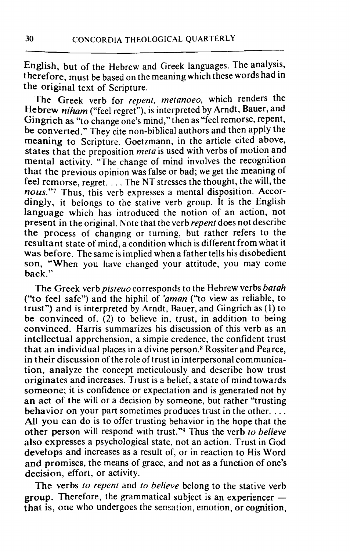English, but of the Hebrew and Greek languages. The analysis, therefore, must be based on the meaning which these words had in the original text of Scripture.

The Greek verb for *repent, metanoeo,* which renders the He brew *niham* ("feel regret"), is interpreted by Arndt, Bauer, and Gingrich as "to change one's mind," then as "feel remorse, repent, be converted." They cite non-biblical authors and then apply the meaning to Scripture. Goetzmann, in the article cited above, states that the preposition *meta* is used with verbs of motion and mental activity. "The change of mind involves the recognition that the previous opinion was false or bad; we get the meaning of feel remorse, regret. . . . The NT stresses the thought, the will, the *nous.*"7 Thus, this verb expresses a mental disposition. Accordingly, it belongs to the stative verb group. It is the English language which has introduced the notion of an action, not present in the original. Note that the verb *repent* does not describe the process of changing or turning. but rather refers to the resultant state of mind, a condition which is different from what it was before. The same is implied when a father tells his disobedient son, "When you have changed your attitude, you may come back."

The Greek verb *pisteuo* corresponds to the Hebrew verbs *batah*  ("to feel safe") and the hiphil of *'aman* ("to view as reliable, to trust") and is interpreted by Arndt, Bauer, and Gingrich as (I) to be convinced of. (2) to believe in, trust, in addition to being convinced. Harris summarizes his discussion of this verb as an intellectual apprehension, a simpie credence, the confident trust that an individual places in a divine person.8 Rossiter and Pearce, in their discussion of the role of trust in interpersonal communication, analyze the concept meticulously and describe how trust originates and increases. Trust is a belief, a state of mind towards someone; it is confidence or expectation and is generated not by an act of the will or a decision by someone, but rather "trusting behavior on your part sometimes produces trust in the other. ... All you can do is to offer trusting behavior in the hope that the other person will respond with trust."<sup>9</sup> Thus the verb *to believe* also expresses a psychological state, not an action. Trust in God develops and increases as a result of, or in reaction to His Word and promises, the means of grace, and not as a function of one's decision, effort, or activity.

The verbs *to repent* and *to believe* belong to the stative verb group. Therefore, the grammatical subject is an experiencer  $$ **that** is, one who undergoes the sensation, emotion, or cognition,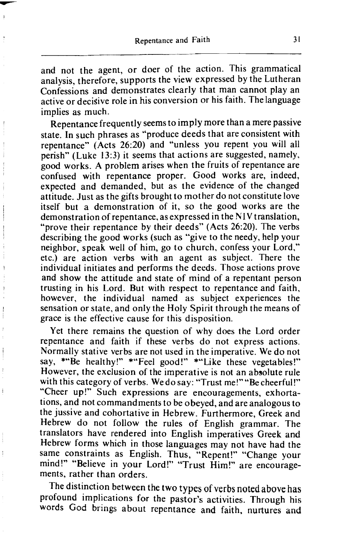and not the agent, or doer of the action. This grammatical analysis, therefore, supports the view expressed by the Lutheran Confessions and demonstrates clearly that man cannot play an active or decisive role in his conversion or his faith. The language implies as much.

Repentance frequently seems to imply more than a mere passive state. In such phrases as "produce deeds that are consistent with repentance" (Acts 26:20) and "unless you repent vou will all perish" (Luke **13:3)** it seems that actions are suggested, namely, good works. A problem arises when the fruits of repentance are confused with repentance proper. Good works are, indeed, expected and demanded, but as the evidence of the changed attitude. Just as the gifts brought to mother do not constitute love itself but a demonstration of it, so the good works are the demonstration of repentance, as expressed in the **NIV** translation, "prove their repentance by their deeds" (Acts 26:20). The verbs describing the good works (such as "give to the needy, help your neighbor, speak well of him, go to church, confess your Lord," etc.) are action verbs with an agent as subject. There the individual initiates and performs the deeds. Those actions prove and show the attitude and state of mind of a repentant person trusting in his Lord. But with respect to repentance and faith, however, the individual named as subject experiences the sensation or state, and only the Holy Spirit through the means of grace is the effective cause for this disposition.

Yet there remains the question of why does the Lord order repentance and faith if these verbs do not express actions. Normally stative verbs are not used in the imperative. We do not say, \*"Be healthy!" \*"Feel good!" \*"Like these vegetables!" However, the exclusion of the imperative is not an absolute rule with this category of verbs. We do say: "Trust me!" "Be cheerful!" "Cheer up!" Such expressions are encouragements, exhortations, and not commandments to be obeyed, and are analogous to the jussive and cohortative in Hebrew. Furthermore, Greek and Hebrew do not follow the rules of English grammar. The translators have rendered into English imperatives Greek and Hebrew forms which in those languages may not have had the same constraints as English. Thus, "Repent!" "Change your mind!" "Believe in your Lord!" "Trust Him!" are encouragements, rather than orders.

The distinction between the two types of verbs noted above has profound implications for the pastor's activities. Through his words **God** brings about repentance and faith, nurtures and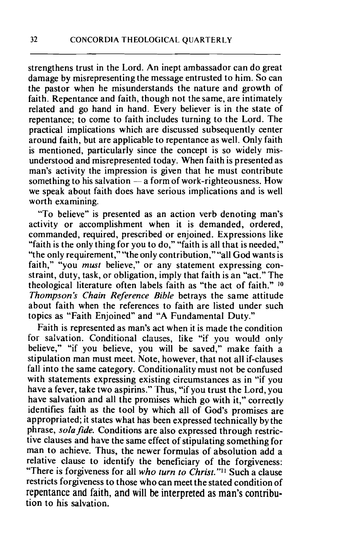strengthens trust in the Lord. An inept ambassador can do great damage by misrepresenting the message entrusted to him. So can the pastor when he misunderstands the nature and growth of faith. Repentance and faith, though not the same, are intimately related and go hand in hand. Every believer is in the state of repentance; to come to faith includes turning to the Lord. The practical implications which are discussed subsequently center around faith, but are applicable to repentance as well. Only faith is mentioned, particularly since the concept is so widely misunderstood and misrepresented today. When faith is presented as man's activity the impression is given that he must contribute man's activity the impression is given that he must contribute<br>something to his salvation - a form of work-righteousness. How we speak about faith does have serious implications and is well worth examining.

"To believe" is presented as an action verb denoting man's activity or accomplishment when it is demanded, ordered, commanded, required, prescribed or enjoined. Expressions like "faith is the only thing for you to do," "faith is all that is needed," "the only requirement," "the only contribution," "all God wants is faith," "you must believe," or any statement expressing constraint, duty, task, or obligation, imply that faith is an "act." The theological literature often labels faith as "the act of faith." **lo**  *Thompson's Chain Reference Bible* betrays the same attitude about faith when the references to faith are listed under such topics as "Faith Enjoined" and "A Fundamental Duty."

Faith is represented as man's act when it is made the condition for salvation. Conditional clauses, like "if you would only believe," "if you believe, you will be saved," make faith a stipulation man must meet. Note, however, that not all if-clauses fall into the same category. Conditionality must not be confused with statements expressing existing circumstances as in "if you have a fever, take two aspirins." Thus, "if you trust the Lord, you have salvation and all the promises which go with it," correctly identifies faith as the tool by which all of God's promises are appropriated; it states what has been expressed technically by the phrase, sola fide. Conditions are also expressed through restrictive clauses and have the same effect of stipulating something for man to achieve. Thus, the newer formulas of absolution add a relative clause to identify the beneficiary of the forgiveness: "There is forgiveness for all *who turn to Christ."ll* Such a clause restricts forgiveness to those who can meet the stated condition of repentance and faith, and will be interpreted as man's contribution to his salvation.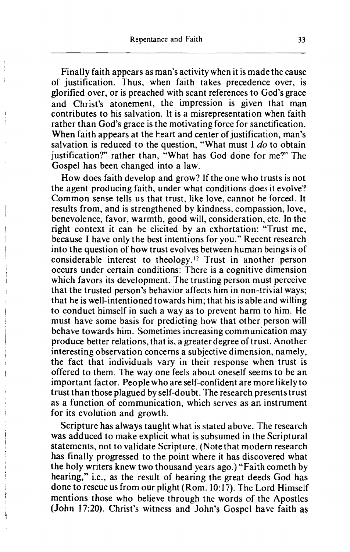Finally faith appears as man's activity when it is made the cause of justification. Thus, when faith takes precedence over, is glorified over, or is preached with scant references to God's grace and Christ's atonement, the impression is given that man contributes to his salvation. It is a misrepresentation when faith rather than God's grace is the motivating force for sanctification. When faith appears at the heart and center of justification, man's salvation is reduced to the question, "What must  $1$  do to obtain justification?" rather than, "What has God done for me?' The Gospel has been changed into a law.

How does faith develop and grow'? If the one who trusts is not the agent producing faith, under what conditions does it evolve? Common sense tells us that trust, like love, cannot be forced. It results from, and is strengthened by kindness, compassion, love, benevolence, favor, warmth, good will, consideration, etc. In the right context it can be elicited by an exhortation: "Trust me, because I have only the best intentions for you." Recent research into the question of how trust evolves between human beings is of considerable interest to theology. **'2** Trust in another person occurs under certain conditions: There is a cognitive dimension which favors its development. The trusting person must perceive that the trusted person's behavior affects him in non-trivial ways; that he is well-intentioned towards him; that his is able and willing to conduct himself in such a way as to prevent harm to him. He must have some basis for predicting how that other person will behave towards him. Sometimes increasing communication may produce better relations, that is, a greater degree of trust. Another interesting observation concerns a subjective dimension, namely, the fact that individuals vary in their response when trust is offered to them. The way one feels about oneself seems to be an important factor. People who are self-confident are more likely to trust than those plagued by self-doubt. The research presents trust as a function of communication, which serves as an instrument for its evolution and growth.

Scripture has always taught what is stated above. The research was adduced to make explicit what is subsumed in the Scriptural statements, not to validate Scripture. (Note that modern research has finally progressed to the point where it has discovered what the holy writers knew two thousand years ago.) "Faith cometh by hearing," i.e., as the result of hearing the great deeds God has done to rescue us from our plight (Rom. 10: 17). The Lord Himself mentions those who believe through the words of the Apostles (John **17;20).** Christ's witness and John's Gospel have faith as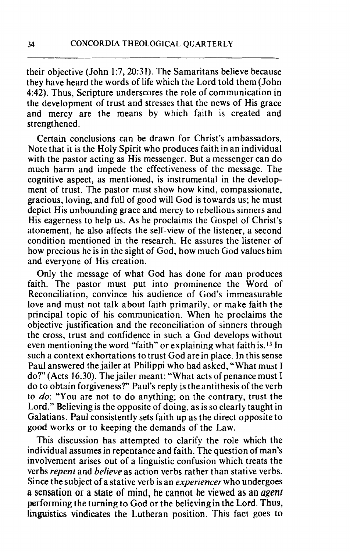their objective (John 1:7,20:31). The Samaritans believe because they have heard the words of life which the Lord told them (John 442). Thus, Scripture underscores the role of communication in the development of trust and stresses that the news of His grace and mercy are the means by which faith is created and strengthened.

Certain conclusions can be drawn for Christ's ambassadors. Note that it is the Holy Spirit who produces faith in an individual with the pastor acting as His messenger. But a messenger can do much harm and impede the effectiveness of the message. The cognitive aspect, as mentioned, is instrumental in the development of trust. The pastor must show how kind, compassionate, gracious, loving, and full of good will God is towards us; he must depict His unbounding grace and mercy to rebellious sinners and His eagerness to help us. As he proclaims the Gospel of Christ's atonement, he also affects the self-view of the listener, a second condition mentioned in the research. He assures the listener of how precious he is in the sight of God, how much God values him and everyone of His creation.

Only the message of what God has done for man produces faith. The pastor must put into prominence the Word of Reconciliation, convince his audience of God's immeasurable love and must not talk about faith primarily. or make faith the principal topic of his communication. When he proclaims the objective justification and the reconciliation of sinners through the cross, trust and confidence in such a God develops without even mentioning the word "faith" or explaining what faith is. **13** In such a context exhortations to trust God are in place. In this sense Paul answered the jailer at Philippi who had asked, "What must I do?'(Acts 16:30). The jailer meant: "What acts of penance must I do to obtain forgiveness?" Paul's reply is the antithesis of the verb to do: "You are not to do anything; on the contrary, trust the Lord." Believing is the opposite of doing, as is so clearly taught in Galatians. Paul consistently sets faith up as the direct opposite to good works or to keeping the demands of the Law.

This discussion has attempted to clarify the role which the individual assumes in repentance and faith. The question of man's involvement arises out of a linguistic confusion which treats the verbs *repent* and *believe* as action verbs rather than stative verbs. Since the subject of a stative verb is an *experiencer* who undergoes a **sensation** or **a state of mind, he cannot be viewed as an** agent performing the turning to God or the believingin the Lord. Thus, linguistics vindicates the Lutheran position. This fact goes to